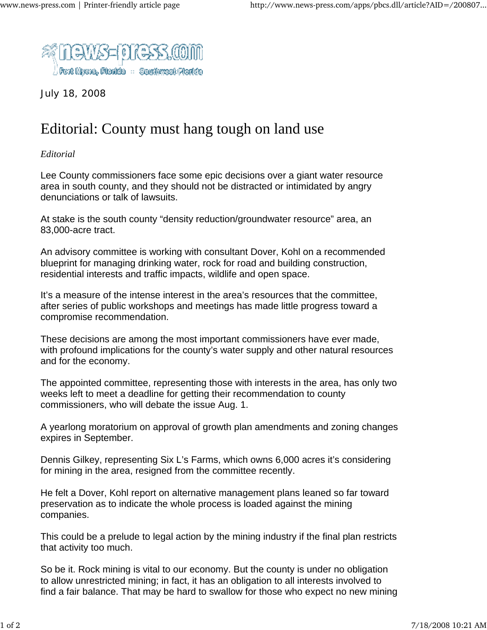

July 18, 2008

## Editorial: County must hang tough on land use

*Editorial*

Lee County commissioners face some epic decisions over a giant water resource area in south county, and they should not be distracted or intimidated by angry denunciations or talk of lawsuits.

At stake is the south county "density reduction/groundwater resource" area, an 83,000-acre tract.

An advisory committee is working with consultant Dover, Kohl on a recommended blueprint for managing drinking water, rock for road and building construction, residential interests and traffic impacts, wildlife and open space.

It's a measure of the intense interest in the area's resources that the committee, after series of public workshops and meetings has made little progress toward a compromise recommendation.

These decisions are among the most important commissioners have ever made, with profound implications for the county's water supply and other natural resources and for the economy.

The appointed committee, representing those with interests in the area, has only two weeks left to meet a deadline for getting their recommendation to county commissioners, who will debate the issue Aug. 1.

A yearlong moratorium on approval of growth plan amendments and zoning changes expires in September.

Dennis Gilkey, representing Six L's Farms, which owns 6,000 acres it's considering for mining in the area, resigned from the committee recently.

He felt a Dover, Kohl report on alternative management plans leaned so far toward preservation as to indicate the whole process is loaded against the mining companies.

This could be a prelude to legal action by the mining industry if the final plan restricts that activity too much.

So be it. Rock mining is vital to our economy. But the county is under no obligation to allow unrestricted mining; in fact, it has an obligation to all interests involved to find a fair balance. That may be hard to swallow for those who expect no new mining